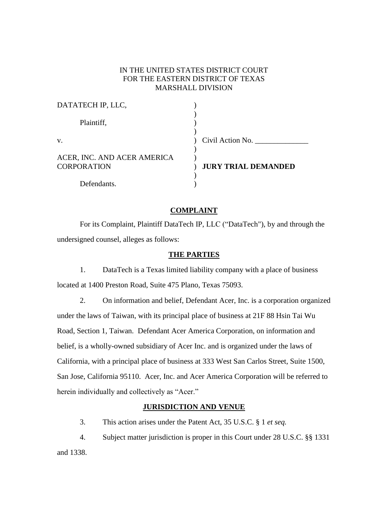# IN THE UNITED STATES DISTRICT COURT FOR THE EASTERN DISTRICT OF TEXAS MARSHALL DIVISION

| DATATECH IP, LLC,           |                            |
|-----------------------------|----------------------------|
| Plaintiff,                  |                            |
| V.                          | Civil Action No.           |
| ACER, INC. AND ACER AMERICA |                            |
| <b>CORPORATION</b>          | <b>JURY TRIAL DEMANDED</b> |
| Defendants.                 |                            |

## **COMPLAINT**

For its Complaint, Plaintiff DataTech IP, LLC ("DataTech"), by and through the undersigned counsel, alleges as follows:

### **THE PARTIES**

1. DataTech is a Texas limited liability company with a place of business located at 1400 Preston Road, Suite 475 Plano, Texas 75093.

2. On information and belief, Defendant Acer, Inc. is a corporation organized under the laws of Taiwan, with its principal place of business at 21F 88 Hsin Tai Wu Road, Section 1, Taiwan. Defendant Acer America Corporation, on information and belief, is a wholly-owned subsidiary of Acer Inc. and is organized under the laws of California, with a principal place of business at 333 West San Carlos Street, Suite 1500, San Jose, California 95110. Acer, Inc. and Acer America Corporation will be referred to herein individually and collectively as "Acer."

## **JURISDICTION AND VENUE**

3. This action arises under the Patent Act, 35 U.S.C. § 1 *et seq.* 

4. Subject matter jurisdiction is proper in this Court under 28 U.S.C. §§ 1331 and 1338.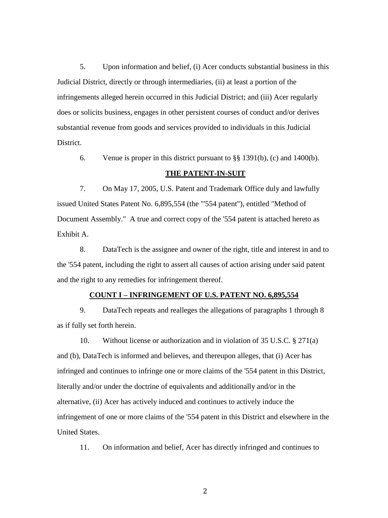5. Upon information and belief, (i) Acer conducts substantial business in this Judicial District, directly or through intermediaries, (ii) at least a portion of the infringements alleged herein occurred in this Judicial District; and (iii) Acer regularly does or solicits business, engages in other persistent courses of conduct and/or derives substantial revenue from goods and services provided to individuals in this Judicial District.

6. Venue is proper in this district pursuant to  $\S$ § 1391(b), (c) and 1400(b).

## **THE PATENT-IN-SUIT**

7. On May 17, 2005, U.S. Patent and Trademark Office duly and lawfully issued United States Patent No. 6,895,554 (the "'554 patent"), entitled "Method of Document Assembly." A true and correct copy of the '554 patent is attached hereto as Exhibit A.

8. DataTech is the assignee and owner of the right, title and interest in and to the '554 patent, including the right to assert all causes of action arising under said patent and the right to any remedies for infringement thereof.

#### **COUNT I – INFRINGEMENT OF U.S. PATENT NO. 6,895,554**

9. DataTech repeats and realleges the allegations of paragraphs 1 through 8 as if fully set forth herein.

10. Without license or authorization and in violation of 35 U.S.C. § 271(a) and (b), DataTech is informed and believes, and thereupon alleges, that (i) Acer has infringed and continues to infringe one or more claims of the '554 patent in this District, literally and/or under the doctrine of equivalents and additionally and/or in the alternative, (ii) Acer has actively induced and continues to actively induce the infringement of one or more claims of the '554 patent in this District and elsewhere in the United States.

11. On information and belief, Acer has directly infringed and continues to

2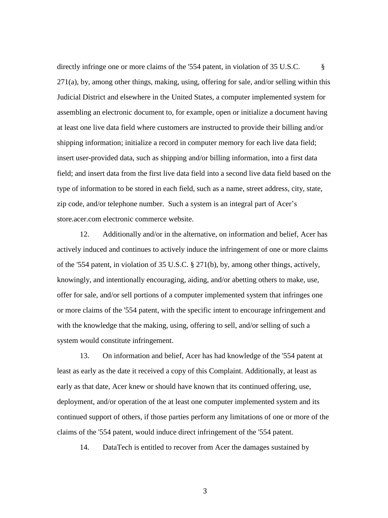directly infringe one or more claims of the '554 patent, in violation of 35 U.S.C. § 271(a), by, among other things, making, using, offering for sale, and/or selling within this Judicial District and elsewhere in the United States, a computer implemented system for assembling an electronic document to, for example, open or initialize a document having at least one live data field where customers are instructed to provide their billing and/or shipping information; initialize a record in computer memory for each live data field; insert user-provided data, such as shipping and/or billing information, into a first data field; and insert data from the first live data field into a second live data field based on the type of information to be stored in each field, such as a name, street address, city, state, zip code, and/or telephone number. Such a system is an integral part of Acer's store.acer.com electronic commerce website.

12. Additionally and/or in the alternative, on information and belief, Acer has actively induced and continues to actively induce the infringement of one or more claims of the '554 patent, in violation of 35 U.S.C. § 271(b), by, among other things, actively, knowingly, and intentionally encouraging, aiding, and/or abetting others to make, use, offer for sale, and/or sell portions of a computer implemented system that infringes one or more claims of the '554 patent, with the specific intent to encourage infringement and with the knowledge that the making, using, offering to sell, and/or selling of such a system would constitute infringement.

13. On information and belief, Acer has had knowledge of the '554 patent at least as early as the date it received a copy of this Complaint. Additionally, at least as early as that date, Acer knew or should have known that its continued offering, use, deployment, and/or operation of the at least one computer implemented system and its continued support of others, if those parties perform any limitations of one or more of the claims of the '554 patent, would induce direct infringement of the '554 patent.

14. DataTech is entitled to recover from Acer the damages sustained by

3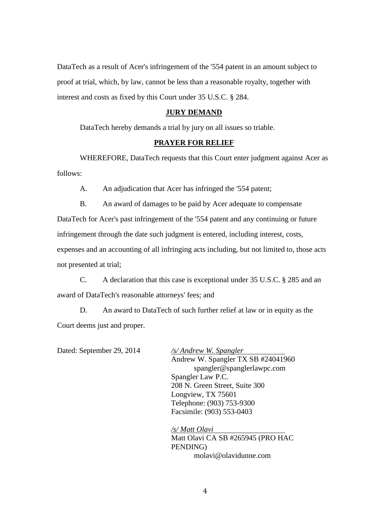DataTech as a result of Acer's infringement of the '554 patent in an amount subject to proof at trial, which, by law, cannot be less than a reasonable royalty, together with interest and costs as fixed by this Court under 35 U.S.C. § 284.

## **JURY DEMAND**

DataTech hereby demands a trial by jury on all issues so triable.

## **PRAYER FOR RELIEF**

WHEREFORE, DataTech requests that this Court enter judgment against Acer as follows:

A. An adjudication that Acer has infringed the '554 patent;

B. An award of damages to be paid by Acer adequate to compensate

DataTech for Acer's past infringement of the '554 patent and any continuing or future infringement through the date such judgment is entered, including interest, costs, expenses and an accounting of all infringing acts including, but not limited to, those acts not presented at trial;

C. A declaration that this case is exceptional under 35 U.S.C. § 285 and an award of DataTech's reasonable attorneys' fees; and

D. An award to DataTech of such further relief at law or in equity as the Court deems just and proper.

Dated: September 29, 2014 */s/ Andrew W. Spangler*

Andrew W. Spangler TX SB #24041960 spangler@spanglerlawpc.com Spangler Law P.C. 208 N. Green Street, Suite 300 Longview, TX 75601 Telephone: (903) 753-9300 Facsimile: (903) 553-0403

*/s/ Matt Olavi* Matt Olavi CA SB #265945 (PRO HAC PENDING) molavi@olavidunne.com